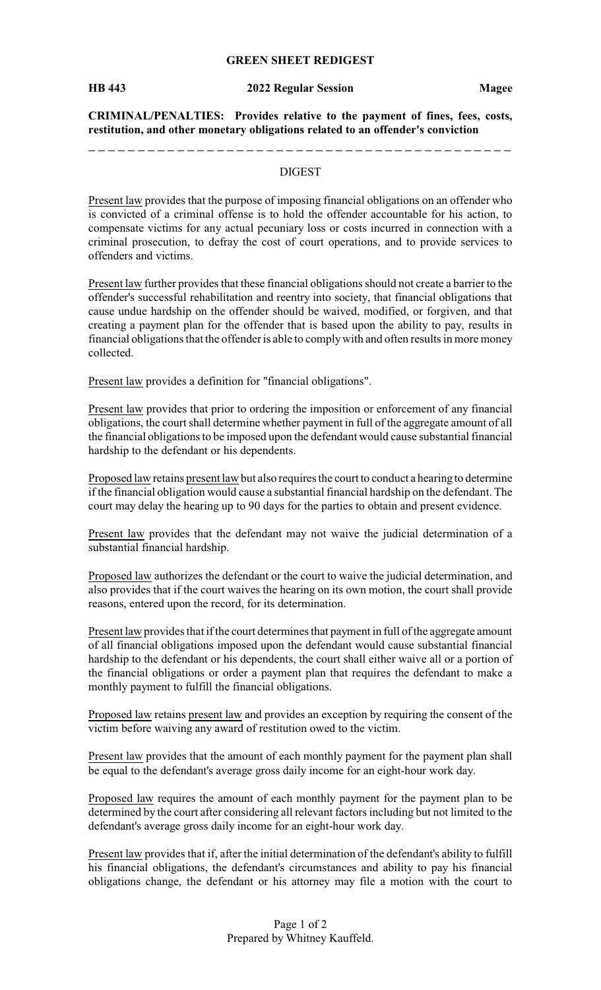## **GREEN SHEET REDIGEST**

**CRIMINAL/PENALTIES: Provides relative to the payment of fines, fees, costs, restitution, and other monetary obligations related to an offender's conviction**

## DIGEST

Present law provides that the purpose of imposing financial obligations on an offender who is convicted of a criminal offense is to hold the offender accountable for his action, to compensate victims for any actual pecuniary loss or costs incurred in connection with a criminal prosecution, to defray the cost of court operations, and to provide services to offenders and victims.

Present law further provides that these financial obligations should not create a barrier to the offender's successful rehabilitation and reentry into society, that financial obligations that cause undue hardship on the offender should be waived, modified, or forgiven, and that creating a payment plan for the offender that is based upon the ability to pay, results in financial obligations that the offender is able to complywith and often results in more money collected.

Present law provides a definition for "financial obligations".

Present law provides that prior to ordering the imposition or enforcement of any financial obligations, the court shall determine whether payment in full of the aggregate amount of all the financial obligations to be imposed upon the defendant would cause substantial financial hardship to the defendant or his dependents.

Proposed law retains present law but also requires the court to conduct a hearing to determine if the financial obligation would cause a substantial financial hardship on the defendant. The court may delay the hearing up to 90 days for the parties to obtain and present evidence.

Present law provides that the defendant may not waive the judicial determination of a substantial financial hardship.

Proposed law authorizes the defendant or the court to waive the judicial determination, and also provides that if the court waives the hearing on its own motion, the court shall provide reasons, entered upon the record, for its determination.

Present law provides that if the court determines that payment in full of the aggregate amount of all financial obligations imposed upon the defendant would cause substantial financial hardship to the defendant or his dependents, the court shall either waive all or a portion of the financial obligations or order a payment plan that requires the defendant to make a monthly payment to fulfill the financial obligations.

Proposed law retains present law and provides an exception by requiring the consent of the victim before waiving any award of restitution owed to the victim.

Present law provides that the amount of each monthly payment for the payment plan shall be equal to the defendant's average gross daily income for an eight-hour work day.

Proposed law requires the amount of each monthly payment for the payment plan to be determined by the court after considering all relevant factors including but not limited to the defendant's average gross daily income for an eight-hour work day.

Present law provides that if, after the initial determination of the defendant's ability to fulfill his financial obligations, the defendant's circumstances and ability to pay his financial obligations change, the defendant or his attorney may file a motion with the court to